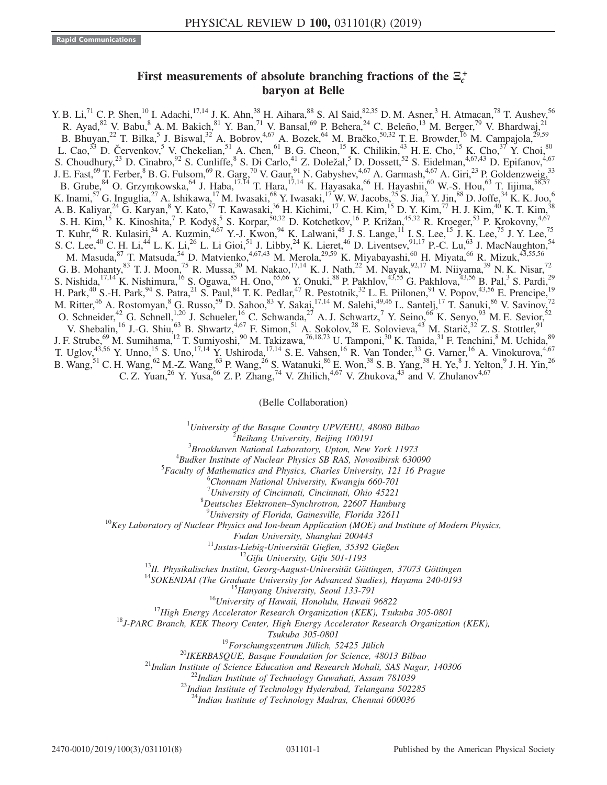## First measurements of absolute branching fractions of the  $\Xi_c^+$ <br>harvon at Belle baryon at Belle

Y. B. Li,<sup>71</sup> C. P. Shen,<sup>10</sup> I. Adachi,<sup>17,14</sup> J. K. Ahn,<sup>38</sup> H. Aihara,<sup>88</sup> S. Al Said,<sup>82,35</sup> D. M. Asner,<sup>3</sup> H. Atmacan,<sup>78</sup> T. Aushev,<sup>56</sup> R. Ayad,  $82$  V. Babu,  $8$  A. M. Bakich,  $81$  Y. Ban,  $71$  V. Bansal,  $69$  P. Behera,  $24$  C. Beleño,  $13$  M. Berger,  $79$  V. Bhardwaj,  $21$ B. Bhuyan,<sup>22</sup> T. Bilka,<sup>5</sup> J. Biswal,<sup>32</sup> A. Bobrov,<sup>4,67</sup> A. Bozek,<sup>64</sup> M. Bračko,<sup>50,32</sup> T. E. Browder, <sup>16</sup> M. Campajola,<sup>29,59</sup> L. Cao,<sup>33</sup> D. Červenkov,<sup>5</sup> V. Chekelian,<sup>51</sup> A. Chen,<sup>61</sup> B. G. Cheon,<sup>15</sup> K. Chilikin,<sup>43</sup> H. E. Cho,<sup>15</sup> K. Cho,<sup>37</sup> Y. Choi,<sup>80</sup> S. Choudhury,<sup>23</sup> D. Cinabro,<sup>92</sup> S. Cunliffe,<sup>8</sup> S. Di Carlo,<sup>41</sup> Z. Doležal,<sup>5</sup> D. Dossett,<sup>52</sup> S. Eidelman,<sup>4,67,43</sup> D. Epifanov,<sup>4,67</sup> J. E. Fast,<sup>69</sup> T. Ferber,  $8$  B. G. Fulsom,  $69$  R. Garg,  $70$  V. Gaur,  $91$  N. Gabyshev,  $4.67$  A. Garmash,  $4.67$  A. Giri,  $23$  P. Goldenzweig,  $33$ B. Grube,  $84$  O. Grzymkowska,  $64$  J. Haba,  $17,14$  T. Hara,  $17,14$  K. Hayasaka,  $66$  H. Hayashii,  $60$  W.-S. Hou,  $63$  T. Iijima,  $58,57$ K. Inami,<sup>57</sup> G. Inguglia,<sup>27</sup> A. Ishikawa,<sup>17</sup> M. Iwasaki,<sup>68</sup> Y. Iwasaki,<sup>17</sup> W. W. Jacobs,<sup>25</sup> S. Jia,<sup>2</sup> Y. Jin,<sup>88</sup> D. Joffe,<sup>34</sup> K. K. Joo,<sup>6</sup> A. B. Kaliyar,<sup>24</sup> G. Karyan,<sup>8</sup> Y. Kato,<sup>57</sup> T. Kawasaki,<sup>36</sup> H. Kichimi,<sup>17</sup> C. H. Kim,<sup>15</sup> D. Y. Kim,<sup>77</sup> H. J. Kim,<sup>40</sup> K. T. Kim,<sup>38</sup> S. H. Kim,<sup>15</sup> K. Kinoshita,<sup>7</sup> P. Kodyš,<sup>5</sup> S. Korpar,<sup>50,32</sup> D. Kotchetkov,<sup>16</sup> P. Križan,<sup>45,32</sup> R. Kroeger,<sup>53</sup> P. Krokovny,<sup>4,67</sup> T. Kuhr,<sup>46</sup> R. Kulasiri,<sup>34</sup> A. Kuzmin,<sup>4,67</sup> Y.-J. Kwon,<sup>94</sup> K. Lalwani,<sup>48</sup> J. S. Lange,<sup>11</sup> I. S. Lee,<sup>15</sup> J. K. Lee,<sup>75</sup> J. Y. Lee,<sup>75</sup> S. C. Lee,<sup>40</sup> C. H. Li,<sup>44</sup> L. K. Li,<sup>26</sup> L. Li Gioi,<sup>51</sup> J. Libby,<sup>24</sup> K. Lieret,<sup>46</sup> D. Liventsev,<sup>91,17</sup> P.-C. Lu,<sup>63</sup> J. MacNaughton,<sup>54</sup> M. Masuda,  $^{87}$  T. Matsuda,  $^{54}$  D. Matvienko,  $^{4,67,43}$  M. Merola,  $^{29,59}$  K. Miyabayashi,  $^{60}$  H. Miyata,  $^{66}$  R. Mizuk,  $^{43,55,56}$ G. B. Mohanty,  $83$  T. J. Moon,  $75$  R. Mussa,  $30$  M. Nakao,  $17,14$  K. J. Nath,  $22$  M. Nayak,  $92,17$  M. Niiyama,  $39$  N. K. Nisar,  $72$ S. Nishida,  $^{17,14}$ K. Nishimura,  $^{16}$  S. Ogawa,  $^{85}$  H. Ono,  $^{65,66}$  Y. Onuki,  $^{88}$  P. Pakhlov,  $^{43,55}$  G. Pakhlova,  $^{43,56}$  B. Pal,  $^3$  S. Pardi,  $^{29}$ H. Park,<sup>40</sup> S.-H. Park,<sup>94</sup> S. Patra,<sup>21</sup> S. Paul,<sup>84</sup> T. K. Pedlar,<sup>47</sup> R. Pestotnik,<sup>32</sup> L. E. Piilonen,<sup>91</sup> V. Popov,<sup>43,56</sup> E. Prencipe,<sup>19</sup> M. Ritter,<sup>46</sup> A. Rostomyan,<sup>8</sup> G. Russo,<sup>59</sup> D. Sahoo,<sup>83</sup> Y. Sakai,<sup>17,14</sup> M. Salehi,<sup>49,46</sup> L. Santelj,<sup>17</sup> T. Sanuki,<sup>86</sup> V. Savinov,<sup>72</sup> O. Schneider,<sup>42</sup> G. Schnell,<sup>1,20</sup> J. Schueler,<sup>16</sup> C. Schwanda,<sup>27</sup> A. J. Schwartz,<sup>7</sup> Y. Seino,<sup>66</sup> K. Senyo,<sup>93</sup> M. E. Sevior,<sup>52</sup> V. Shebalin, <sup>16</sup> J.-G. Shiu, <sup>63</sup> B. Shwartz, <sup>4,67</sup> F. Simon, <sup>51</sup> A. Sokolov, <sup>28</sup> E. Solovieva, <sup>43</sup> M. Starič, <sup>32</sup> Z. S. Stottler, <sup>91</sup> J. F. Strube,<sup>69</sup> M. Sumihama, <sup>12</sup> T. Sumiyoshi,<sup>90</sup> M. Takizawa,<sup>76,18,73</sup> U. Tamponi,<sup>30</sup> K. Tanida,<sup>31</sup> F. Tenchini,<sup>8</sup> M. Uchida,<sup>89</sup> T. Uglov,<sup>43,56</sup> Y. Unno,<sup>15</sup> S. Uno,<sup>17,14</sup> Y. Ushiroda,<sup>17,14</sup> S. E. Vahsen,<sup>16</sup> R. Van Tonder,<sup>33</sup> G. Varner,<sup>16</sup> A. Vinokurova,<sup>4,67</sup> B. Wang,  ${}^{51}$  C. H. Wang,  ${}^{62}$  M.-Z. Wang,  ${}^{63}$  P. Wang,  ${}^{26}$  S. Watanuki,  ${}^{86}$  E. Won,  ${}^{38}$  S. B. Yang,  ${}^{38}$  H. Ye,  ${}^{8}$  J. Yelton,  ${}^{9}$  J. H. Yin,  ${}^{26}$ C. Z. Yuan,<sup>26</sup> Y. Yusa,<sup>66</sup> Z. P. Zhang,<sup>74</sup> V. Zhilich,<sup>4,67</sup> V. Zhukova,<sup>43</sup> and V. Zhulanov<sup>4,67</sup>

(Belle Collaboration)

<sup>1</sup>University of the Basque Country UPV/EHU, 48080 Bilbao  $\frac{2 \text{ B} \text{g}}{2 \text{ B} \text{g}}$  Library University, Bailing 100101

 $B$ eihang University, Beijing 100191<br>Breakhman National Labouatom, Unten Nav

 $B$ Brookhaven National Laboratory, Upton, New York 11973<br> $B_{B}$ udkar Institute of Nuclear Physics SP PAS, Novemberg 630

 $4$ Budker Institute of Nuclear Physics SB RAS, Novosibirsk 630090

Faculty of Mathematics and Physics, Charles University, 121 16 Prague <sup>6</sup>

Chonnam National University, Kwangju 660-701

<sup>7</sup> University of Cincinnati, Cincinnati, Ohio 45221<sup>8</sup> Dautsches, Elektronan, Synchrotron, 22607, Hambu-

 ${}^{8}$ Deutsches Elektronen–Synchrotron, 22607 Hamburg<br> ${}^{9}$ University of Florida, Gainesville, Florida 32611

 $^{10}$ Key Laboratory of Nuclear Physics and Ion-beam Application (MOE) and Institute of Modern Physics,

Fudan University, Shanghai 200443<br><sup>11</sup>Justus-Liebig-Universität Gießen, 35392 Gießen<br><sup>12</sup>Gifu University, Gifu 501-1193<br><sup>13</sup>II. Physikalisches Institut, Georg-August-Universität Göttingen, 37073 Göttingen<br><sup>14</sup>SOKENDAI (The

Tsukuba 305-0801<br><sup>19</sup>Forschungszentrum Jülich, 52425 Jülich<br><sup>20</sup>IKERBASQUE, Basque Foundation for Science, 48013 Bilbao<br><sup>21</sup>Indian Institute of Science Education and Research Mohali, SAS Nagar, 140306<br><sup>22</sup>Indian Institute

<sup>24</sup>Indian Institute of Technology Madras, Chennai 600036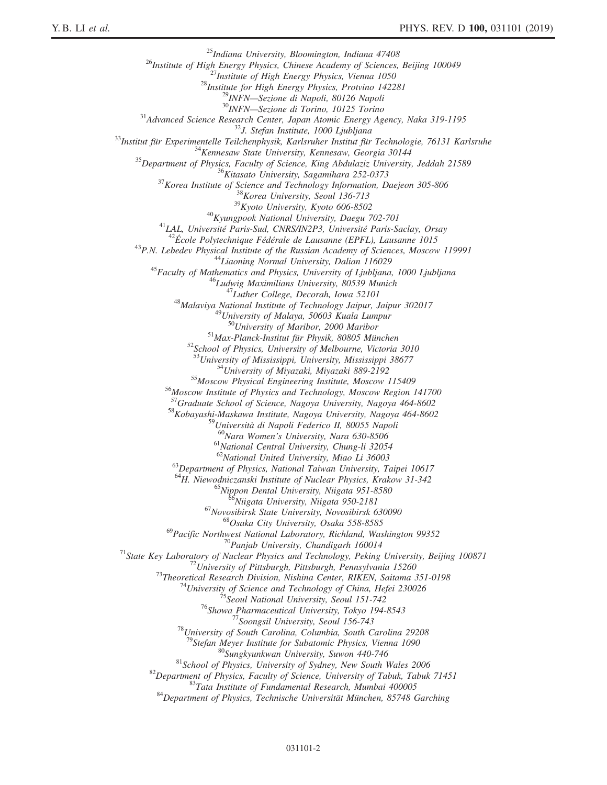$\begin{tabular}{c} \multicolumn{4}{l}{\textbf{``P}}{25} \end{tabular} \begin{tabular}{c} \multicolumn{4}{l}{\textbf{``P}}{25} \end{tabular} \begin{tabular}{c} \multicolumn{4}{l}{\textbf{``P}}{25} \end{tabular} \begin{tabular}{c} \multicolumn{4}{l}{\textbf{``P}}{25} \end{tabular} \begin{tabular}{c} \multicolumn{4}{l}{\textbf{``P}}{25} \end{tabular} \begin{tabular}{c} \multicolumn{4}{l}{\textbf{``P}}{25} \end{tabular} \begin{tabular}{c} \multicolumn{4}{l$ <sup>52</sup>School of Physics, University of Melbourne, Victoria 3010<br><sup>53</sup>University of Mississippi, University, Mississippi 38677<br><sup>54</sup>University of Miyazaki, Miyazaki 889-2192<br><sup>55</sup>Moscow Institute of Physics and Technology, Mosc <sup>58</sup>Kobayashi-Maskawa Institute, Nagoya University, Nagoya 464-8602<br><sup>59</sup>Università di Napoli Federico II, 80055 Napoli  $^{60}$ Nara Women's University, Nara 630-8506<br> $^{61}$ National Central University, Chung-li 32054<br> $^{62}$ National United University, Miao Li 36003 <sup>63</sup>Department of Physics, National Taiwan University, Taipei 10617 <sup>64</sup>H. Niewodniczanski Institute of Nuclear Physics, Krakow 31-342<br><sup>65</sup>Nippon Dental University, Niigata 951-8580<br><sup>66</sup>Niigata University, Niigata 950-2181<br><sup>67</sup>Novosibirsk State University, Novosibirsk 630090<br><sup>68</sup>Osaka Cit <sup>70</sup>Panjab University, Chandigarh 160014<br><sup>71</sup>State Key Laboratory of Nuclear Physics and Technology, Peking University, Beijing 100871<br><sup>72</sup>University of Pittsburgh, Pittsburgh, Pennsylvania 15260<br><sup>73</sup>Theoretical Research <sup>80</sup>Sungkyunkwan University, Suwon 440-746<br><sup>81</sup>School of Physics, University of Sydney, New South Wales 2006<br><sup>82</sup>Department of Physics, Faculty of Science, University of Tabuk, Tabuk 71451<br><sup>82</sup>Department of Physics, Techn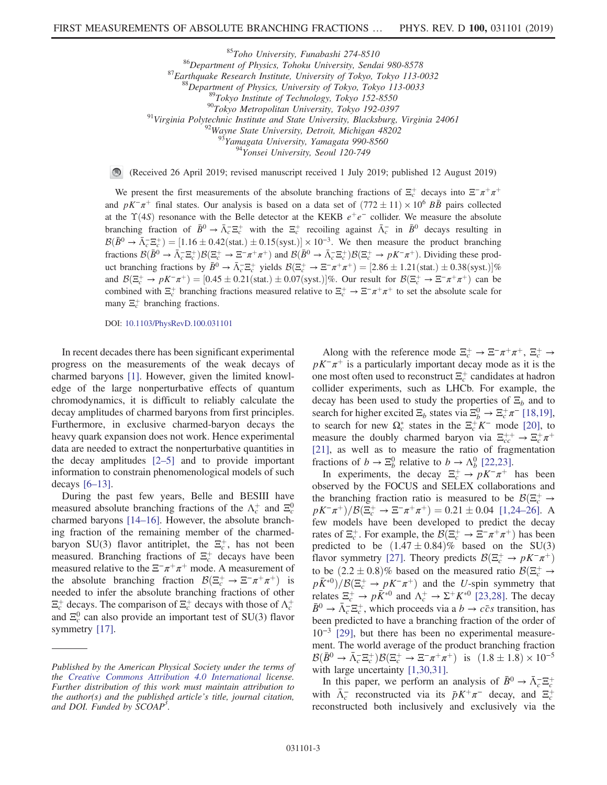<sup>85</sup>Toho University, Funabashi 274-8510<br><sup>86</sup>Department of Physics, Tohoku University, Sendai 980-8578<br><sup>87</sup>Earthquake Research Institute, University of Tokyo, Tokyo 113-0032<br><sup>88</sup>Department of Physics, University of Tokyo,

 $\bigcirc$ (Received 26 April 2019; revised manuscript received 1 July 2019; published 12 August 2019)

We present the first measurements of the absolute branching fractions of  $\Xi_c^+$  decays into  $\Xi^-\pi^+\pi^+$ and  $pK^-\pi^+$  final states. Our analysis is based on a data set of  $(772 \pm 11) \times 10^6$  BB pairs collected at the  $\Upsilon(4S)$  resonance with the Belle detector at the KEKB  $e^+e^-$  collider. We measure the absolute branching fraction of  $\bar{B}^0 \to \bar{\Lambda}_c^- \bar{\Xi}_c^+$  with the  $\Xi_c^+$  recoiling against  $\bar{\Lambda}_c^-$  in  $\bar{B}^0$  decays resulting in  $\mathcal{B}(\bar{B}^0 \to \bar{\Lambda}_c^- \Xi_c^+) = [1.16 \pm 0.42 \text{(stat.)} \pm 0.15 \text{(syst.)}] \times 10^{-3}$ . We then measure the product branching fractions  $\mathcal{B}(\bar{B}^0 \to \bar{\Lambda}_c^- \Xi_c^+) \mathcal{B}(\Xi_c^+ \to \Xi^- \pi^+ \pi^+)$  and  $\mathcal{B}(\bar{B}^0 \to \bar{\Lambda}_c^- \Xi_c^+) \mathcal{B}(\Xi_c^+ \to pK^- \pi^+)$ . Dividing these product branching fractions by  $\bar{B}^0 \to \bar{\Lambda}_c^- \Xi_c^+$  yields  $\mathcal{B}(\Xi_c^+ \to \Xi^- \pi^+ \pi^+) = [2.86 \pm 1.21 \text{(stat.)} \pm 0.38 \text{(syst.)}]\%$ and  $\mathcal{B}(\Xi_c^+\to pK^-\pi^+)$  = [0.45  $\pm$  0.21(stat.)  $\pm$  0.07(syst.)]%. Our result for  $\mathcal{B}(\Xi_c^+\to \Xi^-\pi^+\pi^+)$  can be combined with  $\Xi_c^+$  branching fractions measured relative to  $\Xi_c^+ \to \Xi^- \pi^+ \pi^+$  to set the absolute scale for many  $\Xi_c^+$  branching fractions.

DOI: [10.1103/PhysRevD.100.031101](https://doi.org/10.1103/PhysRevD.100.031101)

In recent decades there has been significant experimental progress on the measurements of the weak decays of charmed baryons [\[1\].](#page-6-0) However, given the limited knowledge of the large nonperturbative effects of quantum chromodynamics, it is difficult to reliably calculate the decay amplitudes of charmed baryons from first principles. Furthermore, in exclusive charmed-baryon decays the heavy quark expansion does not work. Hence experimental data are needed to extract the nonperturbative quantities in the decay amplitudes [2–[5\]](#page-6-1) and to provide important information to constrain phenomenological models of such decays [6–[13\].](#page-6-2)

During the past few years, Belle and BESIII have measured absolute branching fractions of the  $\Lambda_c^+$  and  $\Xi_c^0$ charmed baryons [14–[16\]](#page-6-3). However, the absolute branching fraction of the remaining member of the charmedbaryon SU(3) flavor antitriplet, the  $\Xi_c^+$ , has not been measured. Branching fractions of  $\Xi_c^+$  decays have been measured relative to the  $\Xi^-\pi^+\pi^+$  mode. A measurement of the absolute branching fraction  $\mathcal{B}(\Xi_c^+ \to \Xi^- \pi^+ \pi^+)$  is needed to infer the absolute branching fractions of other  $\Xi_c^+$  decays. The comparison of  $\Xi_c^+$  decays with those of  $\Lambda_c^+$ and  $\Xi_c^0$  can also provide an important test of SU(3) flavor symmetry [\[17\]](#page-6-4).

Along with the reference mode  $\Xi_c^+ \to \Xi^- \pi^+ \pi^+$ ,  $\Xi_c^+ \to$  $pK^-\pi^+$  is a particularly important decay mode as it is the one most often used to reconstruct  $\Xi_c^+$  candidates at hadron collider experiments, such as LHCb. For example, the decay has been used to study the properties of  $\Xi_b$  and to search for higher excited  $\Xi_b$  states via  $\Xi_b^0 \to \Xi_c^+ \pi^-$  [\[18,19\]](#page-6-5), to search for new  $\Omega_c^*$  states in the  $\Xi_c^+ K^-$  mode [\[20\],](#page-6-6) to measure the doubly charmed baryon via  $\Xi_{cc}^{++} \to \Xi_c^+ \pi^+$ [\[21\]](#page-6-7), as well as to measure the ratio of fragmentation fractions of  $b \to \Xi_b^0$  relative to  $b \to \Lambda_b^0$  [\[22,23\].](#page-6-8)

In experiments, the decay  $\Xi_c^+ \to pK^-\pi^+$  has been observed by the FOCUS and SELEX collaborations and the branching fraction ratio is measured to be  $\mathcal{B}(\Xi_c^+ \to \Xi_c^- \to \Xi_c^- \to \Xi_c^- \to \Xi_c^- \to \Xi_c^- \to \Xi_c^- \to \Xi_c^- \to \Xi_c^- \to \Xi_c^- \to \Xi_c^- \to \Xi_c^- \to \Xi_c^- \to \Xi_c^- \to \Xi_c^- \to \Xi_c^- \to \Xi_c^- \to \Xi_c^- \to \Xi_c^- \to \Xi_c^- \to \Xi_c^- \to \Xi_c^- \to \Xi_c^- \to \Xi_c^- \to \Xi_c^- \to \Xi_c^- \to \Xi_c^- \to \Xi_c^$  $pK^-\pi^+)/\mathcal{B}(\Xi_c^+\to \Xi^-\pi^+\pi^+) = 0.21 \pm 0.04$  [\[1,24](#page-6-0)–26]. A few models have been developed to predict the decay rates of  $\Xi_c^+$ . For example, the  $\mathcal{B}(\Xi_c^+ \to \Xi^- \pi^+ \pi^+)$  has been predicted to be  $(1.47 \pm 0.84)\%$  based on the SU(3) flavor symmetry [\[27\].](#page-6-9) Theory predicts  $\mathcal{B}(\Xi_c^+ \to pK^-\pi^+)$ to be  $(2.2 \pm 0.8)$ % based on the measured ratio  $\mathcal{B}(\Xi_c^+ \to \Xi_c)$  $p\bar{K}^{*0}/\mathcal{B}(\Xi_c^+\to pK^-\pi^+)$  and the U-spin symmetry that relates  $\Xi_c^+ \to p\bar{K}^{*0}$  and  $\Lambda_c^+ \to \Sigma^+ K^{*0}$  [\[23,28\].](#page-6-10) The decay  $\bar{B}^0 \to \bar{\Lambda}_c^- \Xi_c^+$ , which proceeds via a  $b \to c\bar{c}s$  transition, has been predicted to have a branching fraction of the order of  $10^{-3}$  [\[29\]](#page-6-11), but there has been no experimental measurement. The world average of the product branching fraction  $\mathcal{B}(\bar{B}^0 \to \bar{\Lambda}_c^- \Xi_c^+) \mathcal{B}(\Xi_c^+ \to \Xi^- \pi^+ \pi^+)$  is  $(1.8 \pm 1.8) \times 10^{-5}$ with large uncertainty [\[1,30,31\].](#page-6-0)

In this paper, we perform an analysis of  $\bar{B}^0 \to \bar{\Lambda}_c^- \Xi_c^+$ with  $\bar{\Lambda}_c^-$  reconstructed via its  $\bar{p}K^+\pi^-$  decay, and  $\Xi_c^+$ reconstructed both inclusively and exclusively via the

Published by the American Physical Society under the terms of the [Creative Commons Attribution 4.0 International](https://creativecommons.org/licenses/by/4.0/) license. Further distribution of this work must maintain attribution to the author(s) and the published article's title, journal citation, and DOI. Funded by SCOAP<sup>3</sup>.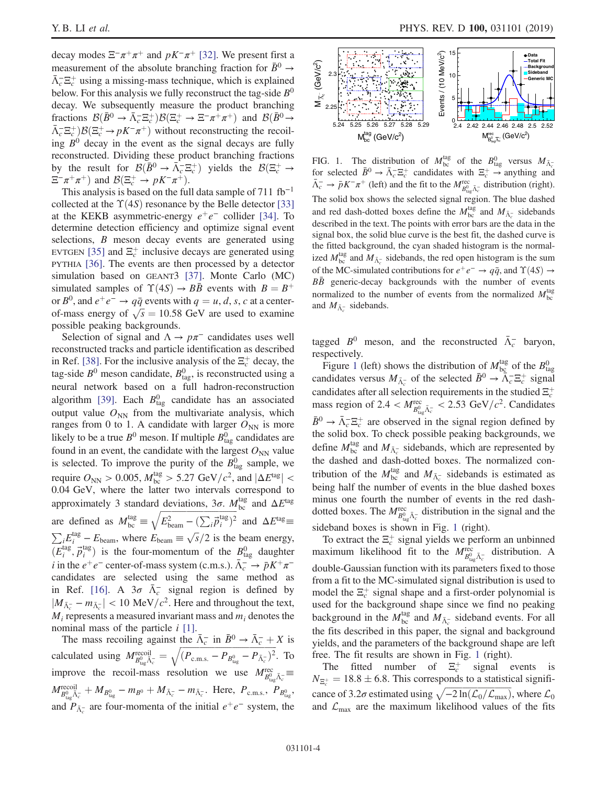decay modes  $\Xi^-\pi^+\pi^+$  and  $pK^-\pi^+$  [\[32\]](#page-6-12). We present first a measurement of the absolute branching fraction for  $\bar{B}^0 \rightarrow$  $\bar{\Lambda}_c^- \Xi_c^+$  using a missing-mass technique, which is explained below. For this analysis we fully reconstruct the tag-side  $B^0$ decay. We subsequently measure the product branching fractions  $\mathcal{B}(\bar{B}^0 \to \bar{\Lambda}_c^- \Xi_c^+) \mathcal{B}(\Xi_c^+ \to \Xi^- \pi^+ \pi^+)$  and  $\mathcal{B}(\bar{B}^0 \to \Xi^- \pi^+ \pi^+)$  $\bar{\Lambda}_c^- \Xi_c^+$ ) $\mathcal{B}(\Xi_c^+ \to pK^-\pi^+)$  without reconstructing the recoiling  $B^0$  decay in the event as the signal decays are fully reconstructed. Dividing these product branching fractions by the result for  $\mathcal{B}(\bar{B}^0 \to \bar{\Lambda}_c^- \Xi_c^+)$  yields the  $\mathcal{B}(\Xi_c^+ \to \Xi_c^-)$  $\Xi^- \pi^+ \pi^+$ ) and  $\mathcal{B}(\Xi_c^+ \to pK^- \pi^+).$ 

This analysis is based on the full data sample of 711  $fb^{-1}$ collected at the  $\Upsilon(4S)$  resonance by the Belle detector [\[33\]](#page-6-13) at the KEKB asymmetric-energy  $e^+e^-$  collider [\[34\].](#page-6-14) To determine detection efficiency and optimize signal event selections, *B* meson decay events are generated using EVTGEN [\[35\]](#page-6-15) and  $\Xi_c^+$  inclusive decays are generated using PYTHIA [\[36\]](#page-6-16). The events are then processed by a detector simulation based on GEANT3 [\[37\].](#page-6-17) Monte Carlo (MC) simulated samples of  $\Upsilon(4S) \rightarrow B\bar{B}$  events with  $B = B^{+}$ or  $B^0$ , and  $e^+e^- \rightarrow q\bar{q}$  events with  $q = u, d, s, c$  at a centeror  $B^{\circ}$ , and  $e^+e^- \rightarrow qq$  events with  $q = u, d, s, c$  at a center-<br>of-mass energy of  $\sqrt{s} = 10.58$  GeV are used to examine possible peaking backgrounds.

Selection of signal and  $\Lambda \to p\pi^-$  candidates uses well reconstructed tracks and particle identification as described in Ref. [\[38\]](#page-6-18). For the inclusive analysis of the  $\Xi_c^+$  decay, the tag-side  $B^0$  meson candidate,  $B^0_{\text{tag}}$ , is reconstructed using a neural network based on a full hadron-reconstruction algorithm [\[39\].](#page-6-19) Each  $B_{\text{tag}}^0$  candidate has an associated output value  $O_{NN}$  from the multivariate analysis, which ranges from 0 to 1. A candidate with larger  $O_{NN}$  is more likely to be a true  $B^0$  meson. If multiple  $B^0_{\text{tag}}$  candidates are found in an event, the candidate with the largest  $O_{NN}$  value is selected. To improve the purity of the  $B_{\text{tag}}^0$  sample, we require  $O_{NN} > 0.005$ ,  $M_{bc}^{tag} > 5.27 \text{ GeV}/c^2$ , and  $|\Delta E^{tag}| <$ 0.04 GeV, where the latter two intervals correspond to approximately 3 standard deviations,  $3\sigma$ .  $M_{\text{bc}}^{\text{tag}}$  and  $\Delta E^{\text{tag}}$ are defined as  $M_{bc}^{tag} \equiv \sqrt{E_{beam}^2 - (E_{beam}^2)}$ are defined as  $M_{bc}^{tag} \equiv \sqrt{E_{beam}^2 - (\sum_i \vec{p}_i^{tag})^2}$  and  $\Delta E^{tag} \equiv \sqrt{E_{beam}^2 - (m_e m_e)^2}$  $iE_i^{\text{tag}} - E_{\text{beam}}$ , where  $E_{\text{beam}} \equiv \sqrt{s/2}$  is the beam energy,  $(E_i^{\text{tag}}, \vec{p}_i^{\text{tag}})$  is the four-momentum of the  $B_{\text{tag}}^0$  daughter *i* in the  $e^+e^-$  center-of-mass system (c.m.s.).  $\bar{\Lambda}_c^- \rightarrow \bar{p}K^+\pi^$ candidates are selected using the same method as in Ref. [\[16\].](#page-6-20) A  $3\sigma \bar{\Lambda}_c^-$  signal region is defined by  $|M_{\bar{\Lambda}_{c}^{-}} - m_{\bar{\Lambda}_{c}^{-}}| < 10 \text{ MeV}/c^2$ . Here and throughout the text,  $M_i$  represents a measured invariant mass and  $m_i$  denotes the nominal mass of the particle  $i$  [\[1\]](#page-6-0).

The mass recoiling against the  $\bar{\Lambda}_c^-$  in  $\bar{B}^0 \to \bar{\Lambda}_c^- + X$  is The mass recoiling against the  $\Lambda_c^-$  in  $B^0 \to \Lambda_c^- + X$  is<br>calculated using  $M_{B_{\text{tag}}^0 \bar{\Lambda}_c^-}^{\text{recoil}} = \sqrt{(P_{\text{c.m.s.}} - P_{B_{\text{tag}}^0} - P_{\bar{\Lambda}_c^-})^2}$ . To improve the recoil-mass resolution we use  $M_{B_{\text{tag}}^0 \bar{A}_{\text{c}}^-}^{\text{rec}}$  $M_{B_{\text{tag}}^{0}\bar{\Lambda}_{c}^{-}}^{\text{recoil}} + M_{B_{\text{tag}}^{0}} - m_{B^{0}} + M_{\bar{\Lambda}_{c}^{-}} - m_{\bar{\Lambda}_{c}^{-}}$ . Here,  $P_{\text{c.m.s.}}, P_{B_{\text{tag}}^{0}}$ and  $P_{\bar{\Lambda}_{c}^{-}}$  are four-momenta of the initial  $e^{+}e^{-}$  system, the

<span id="page-3-0"></span>

FIG. 1. The distribution of  $M_{bc}^{tag}$  of the  $B_{tag}^0$  versus  $M_{\bar{\Lambda}_{c}^{-}}$ for selected  $\bar{B}^0 \to \bar{\Lambda}_c^- \Xi_c^+$  candidates with  $\Xi_c^+ \to$  anything and  $\bar{\Lambda}_c^- \to \bar{p} K^- \pi^+$  (left) and the fit to the  $M_{B_{\log}^0 \bar{\Lambda}_c^-}^{\text{rec}}$  distribution (right). The solid box shows the selected signal region. The blue dashed and red dash-dotted boxes define the  $M_{bc}^{tag}$  and  $M_{\bar{\Lambda}_{c}^{-}}$  sidebands described in the text. The points with error bars are the data in the signal box, the solid blue curve is the best fit, the dashed curve is the fitted background, the cyan shaded histogram is the normalized  $M_{bc}^{\text{tag}}$  and  $M_{\bar{\Lambda}_{c}^{-}}$  sidebands, the red open histogram is the sum of the MC-simulated contributions for  $e^+e^- \rightarrow q\bar{q}$ , and  $\Upsilon(4S) \rightarrow$  $B\bar{B}$  generic-decay backgrounds with the number of events normalized to the number of events from the normalized  $M_{bc}^{tag}$ and  $M_{\bar{\Lambda}_{c}^{-}}$  sidebands.

tagged  $B^0$  meson, and the reconstructed  $\bar{\Lambda}_c^-$  baryon, respectively.

Figure [1](#page-3-0) (left) shows the distribution of  $M_{bc}^{tag}$  of the  $B_{tag}^{0}$ candidates versus  $M_{\bar{\Lambda}_{c}^{-}}$  of the selected  $\bar{B}^{0} \to \tilde{\bar{\Lambda}}_{c}^{-} \Xi_{c}^{+}$  signal candidates after all selection requirements in the studied  $\Xi_c^+$ mass region of 2.4  $< M_{B_{\text{tag}}^{0.5} \bar{\Lambda}_{c}^{-}}^{\text{rec}} < 2.53 \text{ GeV}/c^2$ . Candidates  $\bar{B}^0 \to \bar{\Lambda}_c^- \Xi_c^+$  are observed in the signal region defined by the solid box. To check possible peaking backgrounds, we define  $M_{bc}^{\text{tag}}$  and  $M_{\bar{\Lambda}_{c}^{-}}$  sidebands, which are represented by the dashed and dash-dotted boxes. The normalized contribution of the  $M_{bc}^{\text{tag}}$  and  $M_{\bar{\Lambda}_{c}^{-}}$  sidebands is estimated as being half the number of events in the blue dashed boxes minus one fourth the number of events in the red dashdotted boxes. The  $M_{B_{\text{tag}}^0 \bar{\Lambda}_c^-}^{\text{rec}}$  distribution in the signal and the sideband boxes is shown in Fig. [1](#page-3-0) (right).

To extract the  $\Xi_c^+$  signal yields we perform an unbinned maximum likelihood fit to the  $M_{B_{\log}^{0} \bar{\Lambda}_{c}^{-}}^{rec}$  distribution. A double-Gaussian function with its parameters fixed to those from a fit to the MC-simulated signal distribution is used to model the  $\Xi_c^+$  signal shape and a first-order polynomial is used for the background shape since we find no peaking background in the  $M_{bc}^{\text{tag}}$  and  $M_{\bar{\Lambda}_{c}^{-}}$  sideband events. For all the fits described in this paper, the signal and background yields, and the parameters of the background shape are left free. The fit results are shown in Fig. [1](#page-3-0) (right).

The fitted number of  $\Xi_c^+$  signal events is  $N_{\Xi_c^+} = 18.8 \pm 6.8$ . This corresponds to a statistical signifi- $N_{\Xi_c^+} = 18.8 \pm 0.8$ . This corresponds to a statistical significance of 3.2 $\sigma$  estimated using  $\sqrt{-2 \ln(\mathcal{L}_0/\mathcal{L}_{\text{max}})}$ , where  $\mathcal{L}_0$ and  $\mathcal{L}_{\text{max}}$  are the maximum likelihood values of the fits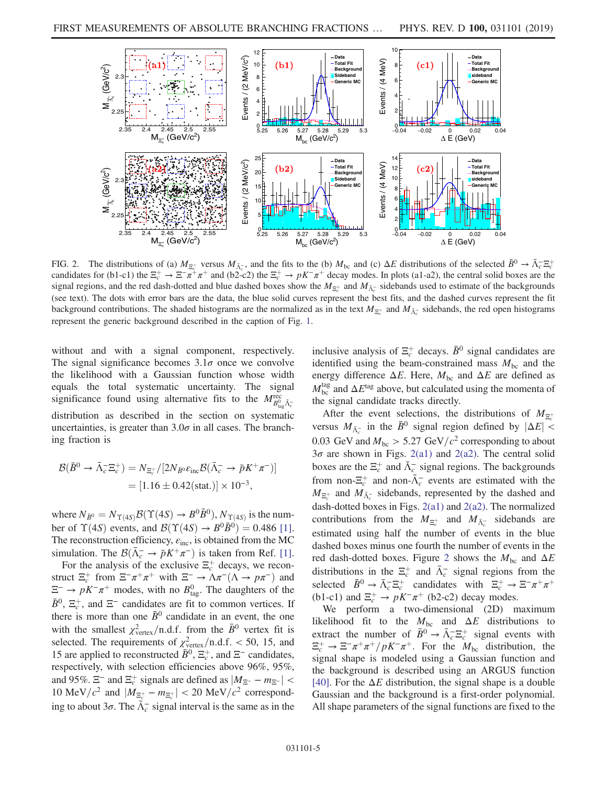<span id="page-4-0"></span>

FIG. 2. The distributions of (a)  $M_{\Xi_c^+}$  versus  $M_{\bar{\Lambda}_c^-}$ , and the fits to the (b)  $M_{bc}$  and (c)  $\Delta E$  distributions of the selected  $\bar{B}^0 \to \bar{\Lambda}_c^- \Xi_c^+$ candidates for (b1-c1) the  $\Xi_c^+ \to \Xi^- \overline{\pi}^+ \pi^+$  and (b2-c2) the  $\Xi_c^+ \to pK^-\pi^+$  decay modes. In plots (a1-a2), the central solid boxes are the signal regions, and the red dash-dotted and blue dashed boxes show the  $M_{\bar{\alpha}^+}$  and  $M_{\bar{\Lambda}^-_c}$  sidebands used to estimate of the backgrounds (see text). The dots with error bars are the data, the blue solid curves represent the best fits, and the dashed curves represent the fit background contributions. The shaded histograms are the normalized as in the text  $M_{\Xi_c^+}$  and  $M_{\bar{\Lambda}_c^-}$  sidebands, the red open histograms represent the generic background described in the caption of Fig. [1.](#page-3-0)

without and with a signal component, respectively. The signal significance becomes  $3.1\sigma$  once we convolve the likelihood with a Gaussian function whose width equals the total systematic uncertainty. The signal significance found using alternative fits to the  $M_{B_{\text{tag}}^{0.5}\bar{\Lambda}_{c}}^{\text{rec}}$ distribution as described in the section on systematic uncertainties, is greater than  $3.0\sigma$  in all cases. The branching fraction is

$$
\mathcal{B}(\bar{B}^0 \to \bar{\Lambda}_c^- \Xi_c^+) = N_{\Xi_c^+} / [2N_{\bar{B}^0} \varepsilon_{\text{inc}} \mathcal{B}(\bar{\Lambda}_c^- \to \bar{p} K^+ \pi^-)]
$$
  
= [1.16 \pm 0.42(stat.)] \times 10^{-3},

where  $N_{\bar{B}^0} = N_{\Upsilon(4S)} \mathcal{B}(\Upsilon(4S) \rightarrow B^0 \bar{B}^0)$ ,  $N_{\Upsilon(4S)}$  is the number of  $\Upsilon(4S)$  events, and  $\mathcal{B}(\Upsilon(4S) \rightarrow B^0 \overline{B}{}^0) = 0.486$  [\[1\]](#page-6-0). The reconstruction efficiency,  $\varepsilon_{\text{inc}}$ , is obtained from the MC simulation. The  $\mathcal{B}(\bar{\Lambda}_{c}^{-} \to \bar{p}K^{+}\pi^{-})$  is taken from Ref. [\[1\]](#page-6-0).

For the analysis of the exclusive  $\Xi_c^+$  decays, we reconstruct  $\Xi_c^+$  from  $\Xi^- \pi^+ \pi^+$  with  $\Xi^- \to \Lambda \pi^- (\Lambda \to p \pi^-)$  and  $\Xi^-$  →  $pK^-\pi^+$  modes, with no  $B_{\text{tag}}^0$ . The daughters of the  $\bar{B}^0$ ,  $\Xi_c^+$ , and  $\Xi^-$  candidates are fit to common vertices. If there is more than one  $\bar{B}^0$  candidate in an event, the one with the smallest  $\chi^2_{\text{vertex}}/n.d.f.$  from the  $\bar{B}^0$  vertex fit is selected. The requirements of  $\chi^2_{\text{vertex}}/n.d.f. < 50$ , 15, and 15 are applied to reconstructed  $\bar{B}^0$ ,  $\Xi_c^+$ , and  $\Xi^-$  candidates, respectively, with selection efficiencies above 96%, 95%, and 95%.  $\Xi^-$  and  $\Xi_c^+$  signals are defined as  $|M_{\Xi^-} - m_{\Xi^-}|$  < 10 MeV/ $c^2$  and  $|M_{\Xi_c^+} - m_{\Xi_c^+}| < 20$  MeV/ $c^2$  corresponding to about  $3\sigma$ . The  $\bar{\Lambda}_{c}^{-}$  signal interval is the same as in the

inclusive analysis of  $\Xi_c^+$  decays.  $\bar{B}^0$  signal candidates are identified using the beam-constrained mass  $M_{bc}$  and the energy difference  $\Delta E$ . Here,  $M_{bc}$  and  $\Delta E$  are defined as  $M_{\rm bc}^{\rm tag}$  and  $\Delta E^{\rm tag}$  above, but calculated using the momenta of the signal candidate tracks directly.

After the event selections, the distributions of  $M_{\Xi_c^+}$ versus  $M_{\bar{\Lambda}_{c}^{-}}$  in the  $\bar{B}^{0}$  signal region defined by  $|\Delta E| <$ 0.03 GeV and  $M_{bc} > 5.27 \text{ GeV}/c^2$  corresponding to about  $3\sigma$  are shown in Figs. [2\(a1\)](#page-4-0) and [2\(a2\).](#page-4-0) The central solid boxes are the  $\Xi_c^+$  and  $\bar{\Lambda}_c^-$  signal regions. The backgrounds from non- $\Xi_c^+$  and non- $\bar{\Lambda}_c^-$  events are estimated with the  $M_{\bar{\Delta}_{c}^+}$  and  $M_{\bar{\Delta}_{c}^-}$  sidebands, represented by the dashed and dash-dotted boxes in Figs. [2\(a1\)](#page-4-0) and [2\(a2\).](#page-4-0) The normalized contributions from the  $M_{\Xi_c^+}$  and  $M_{\bar{\Lambda}_c^-}$  sidebands are estimated using half the number of events in the blue dashed boxes minus one fourth the number of events in the red dash-dotted boxes. Figure [2](#page-4-0) shows the  $M_{bc}$  and  $\Delta E$ distributions in the  $\Xi_c^+$  and  $\bar{\Lambda}_c^-$  signal regions from the selected  $\bar{B}^0 \to \bar{\Lambda}_c^- \Xi_c^+$  candidates with  $\Xi_c^+ \to \Xi^- \pi^+ \pi^+$ (b1-c1) and  $\Xi_c^+ \to pK^-\pi^+$  (b2-c2) decay modes.

We perform a two-dimensional (2D) maximum likelihood fit to the  $M_{bc}$  and  $\Delta E$  distributions to extract the number of  $\bar{B}^0 \to \bar{\Lambda}_c^- \Xi_c^+$  signal events with  $\Xi_c^+ \to \Xi^- \pi^+ \pi^+ / pK^- \pi^+$ . For the  $M_{bc}$  distribution, the signal shape is modeled using a Gaussian function and the background is described using an ARGUS function [\[40\]](#page-7-0). For the  $\Delta E$  distribution, the signal shape is a double Gaussian and the background is a first-order polynomial. All shape parameters of the signal functions are fixed to the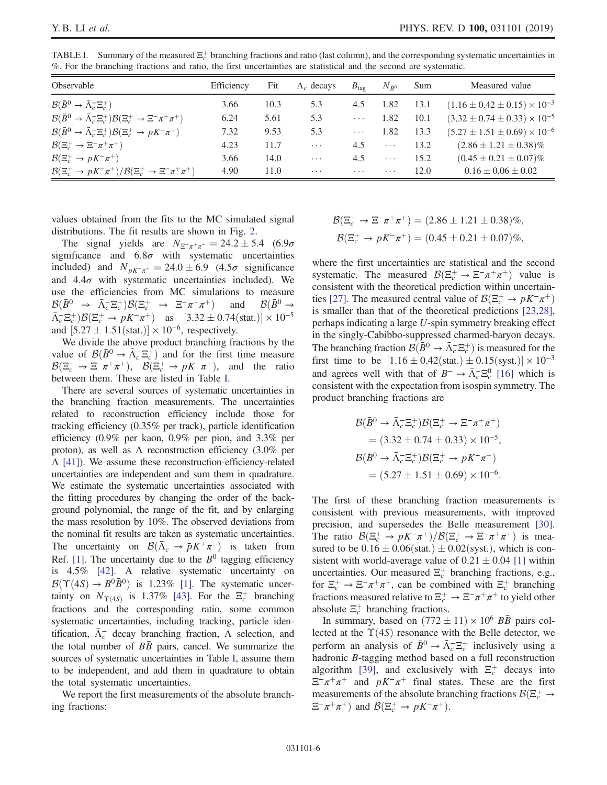| Observable                                                                                        | Efficiency | Fit  | $\Lambda_c$ decays | $B_{\text{tag}}$ | $N_{\bar{R}^0}$ | Sum  | Measured value                            |
|---------------------------------------------------------------------------------------------------|------------|------|--------------------|------------------|-----------------|------|-------------------------------------------|
| $\mathcal{B}(\bar{B}^0 \to \bar{\Lambda}_c^- \Xi_c^+)$                                            | 3.66       | 10.3 | 5.3                | 4.5              | 1.82            | 13.1 | $(1.16 \pm 0.42 \pm 0.15) \times 10^{-3}$ |
| $\mathcal{B}(\bar{B}^0 \to \bar{\Lambda}_c^- \Xi_c^+) \mathcal{B}(\Xi_c^+ \to \Xi^- \pi^+ \pi^+)$ | 6.24       | 5.61 | 5.3                | $\cdots$         | 1.82            | 10.1 | $(3.32 \pm 0.74 \pm 0.33) \times 10^{-5}$ |
| $\mathcal{B}(\bar{B}^0 \to \bar{\Lambda}_c^- \Xi_c^+) \mathcal{B}(\Xi_c^+ \to pK^-\pi^+)$         | 7.32       | 9.53 | 5.3                | $\cdots$         | 1.82            | 13.3 | $(5.27 \pm 1.51 \pm 0.69) \times 10^{-6}$ |
| $\mathcal{B}(\Xi_c^+\to \Xi^-\pi^+\pi^+)$                                                         | 4.23       | 11.7 | $\cdots$           | 4.5              | $\cdots$        | 13.2 | $(2.86 \pm 1.21 \pm 0.38)\%$              |
| $\mathcal{B}(\Xi_c^+\to pK^-\pi^+)$                                                               | 3.66       | 14.0 | $\cdots$           | 4.5              | $\cdots$        | 15.2 | $(0.45 \pm 0.21 \pm 0.07)\%$              |
| $\mathcal{B}(\Xi_c^+\to pK^-\pi^+)/\mathcal{B}(\Xi_c^+\to \Xi^-\pi^+\pi^+)$                       | 4.90       | 11.0 | $\cdots$           | $\cdots$         | $\cdots$        | 12.0 | $0.16 \pm 0.06 \pm 0.02$                  |

<span id="page-5-0"></span>TABLE I. Summary of the measured  $\Xi_c^+$  branching fractions and ratio (last column), and the corresponding systematic uncertainties in %. For the branching fractions and ratio, the first uncertainties are statistical and the second are systematic.

values obtained from the fits to the MC simulated signal distributions. The fit results are shown in Fig. [2](#page-4-0).

The signal yields are  $N_{\Xi^-\pi^+\pi^+} = 24.2 \pm 5.4$  (6.9 $\sigma$ ) significance and  $6.8\sigma$  with systematic uncertainties included) and  $N_{pK^-\pi^+} = 24.0 \pm 6.9$  (4.5 $\sigma$  significance and  $4.4\sigma$  with systematic uncertainties included). We use the efficiencies from MC simulations to measure  $\mathcal{B}(\bar{B}^0 \rightarrow \bar{\Lambda}_c^- \Xi_c^+) \mathcal{B}(\Xi_c^+ \rightarrow \Xi^- \pi^+ \pi^+)$  and  $\mathcal{B}(\bar{B}^0 \rightarrow$  $\bar{\Lambda}_c^- \Xi_c^+$ ) $\mathcal{B}(\Xi_c^+ \to pK^-\pi^+)$  as [3.32  $\pm$  0.74(stat.)]  $\times$  10<sup>-5</sup> and  $[5.27 \pm 1.51(stat.)] \times 10^{-6}$ , respectively.

We divide the above product branching fractions by the value of  $\mathcal{B}(\bar{B}^0 \to \bar{\Lambda}_c^- \Xi_c^+)$  and for the first time measure  $B(\Xi_c^+ \to \Xi^- \pi^+ \pi^+), \quad B(\Xi_c^+ \to pK^-\pi^+),$  and the ratio between them. These are listed in Table [I.](#page-5-0)

There are several sources of systematic uncertainties in the branching fraction measurements. The uncertainties related to reconstruction efficiency include those for tracking efficiency (0.35% per track), particle identification efficiency (0.9% per kaon, 0.9% per pion, and 3.3% per proton), as well as  $\Lambda$  reconstruction efficiency (3.0% per Λ [\[41\]](#page-7-1)). We assume these reconstruction-efficiency-related uncertainties are independent and sum them in quadrature. We estimate the systematic uncertainties associated with the fitting procedures by changing the order of the background polynomial, the range of the fit, and by enlarging the mass resolution by 10%. The observed deviations from the nominal fit results are taken as systematic uncertainties. The uncertainty on  $\mathcal{B}(\bar{\Lambda}_c^- \to \bar{p}K^+\pi^-)$  is taken from Ref. [\[1\].](#page-6-0) The uncertainty due to the  $B^0$  tagging efficiency is 4.5% [\[42\].](#page-7-2) A relative systematic uncertainty on  $\mathcal{B}(\Upsilon(4S) \rightarrow B^0 \bar{B}^0)$  is 1.23% [\[1\]](#page-6-0). The systematic uncertainty on  $N_{\Upsilon(4S)}$  is 1.37% [\[43\]](#page-7-3). For the  $\Xi_c^+$  branching fractions and the corresponding ratio, some common systematic uncertainties, including tracking, particle identification,  $\bar{\Lambda}_c^-$  decay branching fraction,  $\Lambda$  selection, and the total number of  $B\bar{B}$  pairs, cancel. We summarize the sources of systematic uncertainties in Table [I,](#page-5-0) assume them to be independent, and add them in quadrature to obtain the total systematic uncertainties.

We report the first measurements of the absolute branching fractions:

$$
\mathcal{B}(\Xi_c^+ \to \Xi^- \pi^+ \pi^+) = (2.86 \pm 1.21 \pm 0.38)\%,
$$
  

$$
\mathcal{B}(\Xi_c^+ \to pK^- \pi^+) = (0.45 \pm 0.21 \pm 0.07)\%,
$$

where the first uncertainties are statistical and the second systematic. The measured  $\mathcal{B}(\Xi_c^+ \to \Xi^- \pi^+ \pi^+)$  value is consistent with the theoretical prediction within uncertain-ties [\[27\].](#page-6-9) The measured central value of  $\mathcal{B}(\Xi_c^+ \to pK^-\pi^+)$ is smaller than that of the theoretical predictions [\[23,28\]](#page-6-10), perhaps indicating a large U-spin symmetry breaking effect in the singly-Cabibbo-suppressed charmed-baryon decays. The branching fraction  $\mathcal{B}(\bar{B}^0 \to \bar{\Lambda}_c^- \Xi_c^+)$  is measured for the first time to be  $[1.16 \pm 0.42 \text{(stat.)} \pm 0.15 \text{(syst.)}] \times 10^{-3}$ and agrees well with that of  $B^- \to \bar{\Lambda}_c^- \Xi_c^0$  [\[16\]](#page-6-20) which is consistent with the expectation from isospin symmetry. The product branching fractions are

$$
\mathcal{B}(\bar{B}^0 \to \bar{\Lambda}_c^- \Xi_c^+) \mathcal{B}(\Xi_c^+ \to \Xi^- \pi^+ \pi^+)
$$
  
= (3.32 \pm 0.74 \pm 0.33) \times 10^{-5},  

$$
\mathcal{B}(\bar{B}^0 \to \bar{\Lambda}_c^- \Xi_c^+) \mathcal{B}(\Xi_c^+ \to pK^- \pi^+)
$$
  
= (5.27 \pm 1.51 \pm 0.69) \times 10^{-6}.

The first of these branching fraction measurements is consistent with previous measurements, with improved precision, and supersedes the Belle measurement [\[30\]](#page-6-21). The ratio  $\mathcal{B}(\Xi_c^+ \to pK^-\pi^+)/\mathcal{B}(\Xi_c^+ \to \Xi^-\pi^+\pi^+)$  is measured to be  $0.16 \pm 0.06$  (stat.)  $\pm 0.02$  (syst.), which is consistent with world-average value of  $0.21 \pm 0.04$  [\[1\]](#page-6-0) within uncertainties. Our measured  $\Xi_c^+$  branching fractions, e.g., for  $\Xi_c^+ \to \Xi^- \pi^+ \pi^+$ , can be combined with  $\Xi_c^+$  branching fractions measured relative to  $\Xi_c^+ \to \Xi^- \pi^+ \pi^+$  to yield other absolute  $\Xi_c^+$  branching fractions.

In summary, based on  $(772 \pm 11) \times 10^6$  BB pairs collected at the  $\Upsilon(4S)$  resonance with the Belle detector, we perform an analysis of  $\bar{B}^0 \to \bar{\Lambda}_c^- \Xi_c^+$  inclusively using a hadronic B-tagging method based on a full reconstruction algorithm [\[39\]](#page-6-19), and exclusively with  $\Xi_c^+$  decays into  $\Xi^-\pi^+\pi^+$  and  $pK^-\pi^+$  final states. These are the first measurements of the absolute branching fractions  $\mathcal{B}(\Xi_c^+ \to \Xi_c^- \to \Xi_c^- \to \Xi_c^- \to \Xi_c^- \to \Xi_c^- \to \Xi_c^- \to \Xi_c^- \to \Xi_c^- \to \Xi_c^- \to \Xi_c^- \to \Xi_c^- \to \Xi_c^- \to \Xi_c^- \to \Xi_c^- \to \Xi_c^- \to \Xi_c^- \to \Xi_c^- \to \Xi_c^- \to \Xi_c^- \to \Xi_c^- \to \Xi_c^- \to \Xi_c^- \to \Xi_c^- \to \Xi_c^- \to \Xi_c^- \to \Xi_c^- \to \Xi$  $\Xi^- \pi^+ \pi^+$ ) and  $\mathcal{B}(\Xi_c^+ \to pK^- \pi^+)$ .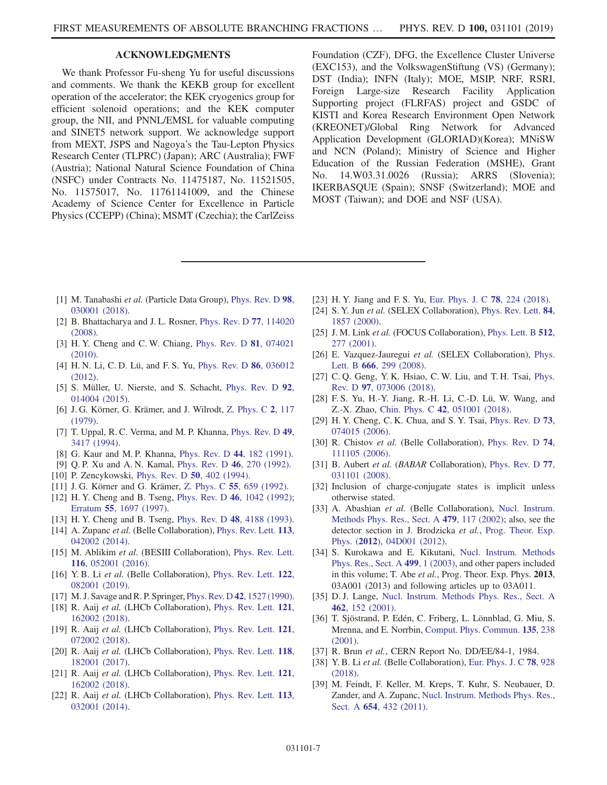## ACKNOWLEDGMENTS

We thank Professor Fu-sheng Yu for useful discussions and comments. We thank the KEKB group for excellent operation of the accelerator; the KEK cryogenics group for efficient solenoid operations; and the KEK computer group, the NII, and PNNL/EMSL for valuable computing and SINET5 network support. We acknowledge support from MEXT, JSPS and Nagoya's the Tau-Lepton Physics Research Center (TLPRC) (Japan); ARC (Australia); FWF (Austria); National Natural Science Foundation of China (NSFC) under Contracts No. 11475187, No. 11521505, No. 11575017, No. 11761141009, and the Chinese Academy of Science Center for Excellence in Particle Physics (CCEPP) (China); MSMT (Czechia); the CarlZeiss Foundation (CZF), DFG, the Excellence Cluster Universe (EXC153), and the VolkswagenStiftung (VS) (Germany); DST (India); INFN (Italy); MOE, MSIP, NRF, RSRI, Foreign Large-size Research Facility Application Supporting project (FLRFAS) project and GSDC of KISTI and Korea Research Environment Open Network (KREONET)/Global Ring Network for Advanced Application Development (GLORIAD)(Korea); MNiSW and NCN (Poland); Ministry of Science and Higher Education of the Russian Federation (MSHE), Grant No. 14.W03.31.0026 (Russia); ARRS (Slovenia); IKERBASQUE (Spain); SNSF (Switzerland); MOE and MOST (Taiwan); and DOE and NSF (USA).

- <span id="page-6-0"></span>[1] M. Tanabashi et al. (Particle Data Group), [Phys. Rev. D](https://doi.org/10.1103/PhysRevD.98.030001) 98, [030001 \(2018\).](https://doi.org/10.1103/PhysRevD.98.030001)
- <span id="page-6-1"></span>[2] B. Bhattacharya and J. L. Rosner, [Phys. Rev. D](https://doi.org/10.1103/PhysRevD.77.114020) 77, 114020 [\(2008\).](https://doi.org/10.1103/PhysRevD.77.114020)
- [3] H. Y. Cheng and C. W. Chiang, [Phys. Rev. D](https://doi.org/10.1103/PhysRevD.81.074021) 81, 074021 [\(2010\).](https://doi.org/10.1103/PhysRevD.81.074021)
- [4] H. N. Li, C. D. Lü, and F. S. Yu, [Phys. Rev. D](https://doi.org/10.1103/PhysRevD.86.036012) 86, 036012 [\(2012\).](https://doi.org/10.1103/PhysRevD.86.036012)
- [5] S. Müller, U. Nierste, and S. Schacht, [Phys. Rev. D](https://doi.org/10.1103/PhysRevD.92.014004) 92, [014004 \(2015\).](https://doi.org/10.1103/PhysRevD.92.014004)
- <span id="page-6-2"></span>[6] J. G. Körner, G. Krämer, and J. Wilrodt, [Z. Phys. C](https://doi.org/10.1007/BF01474126) 2, 117 [\(1979\).](https://doi.org/10.1007/BF01474126)
- [7] T. Uppal, R. C. Verma, and M. P. Khanna, [Phys. Rev. D](https://doi.org/10.1103/PhysRevD.49.3417) 49, [3417 \(1994\)](https://doi.org/10.1103/PhysRevD.49.3417).
- [8] G. Kaur and M. P. Khanna, [Phys. Rev. D](https://doi.org/10.1103/PhysRevD.44.182) 44, 182 (1991).
- [9] Q. P. Xu and A. N. Kamal, [Phys. Rev. D](https://doi.org/10.1103/PhysRevD.46.270) 46, 270 (1992).
- [10] P. Zencykowski, [Phys. Rev. D](https://doi.org/10.1103/PhysRevD.50.402) **50**, 402 (1994).
- [11] J. G. Körner and G. Krämer, Z. Phys. C **55**[, 659 \(1992\).](https://doi.org/10.1007/BF01561305)
- [12] H. Y. Cheng and B. Tseng, Phys. Rev. D 46[, 1042 \(1992\)](https://doi.org/10.1103/PhysRevD.46.1042); Erratum 55[, 1697 \(1997\)](https://doi.org/10.1103/PhysRevD.55.1697).
- <span id="page-6-3"></span>[13] H. Y. Cheng and B. Tseng, Phys. Rev. D 48[, 4188 \(1993\).](https://doi.org/10.1103/PhysRevD.48.4188)
- [14] A. Zupanc *et al.* (Belle Collaboration), [Phys. Rev. Lett.](https://doi.org/10.1103/PhysRevLett.113.042002) 113, [042002 \(2014\).](https://doi.org/10.1103/PhysRevLett.113.042002)
- [15] M. Ablikim et al. (BESIII Collaboration), [Phys. Rev. Lett.](https://doi.org/10.1103/PhysRevLett.116.052001) 116[, 052001 \(2016\).](https://doi.org/10.1103/PhysRevLett.116.052001)
- <span id="page-6-20"></span>[16] Y. B. Li et al. (Belle Collaboration), [Phys. Rev. Lett.](https://doi.org/10.1103/PhysRevLett.122.082001) 122, [082001 \(2019\).](https://doi.org/10.1103/PhysRevLett.122.082001)
- <span id="page-6-5"></span><span id="page-6-4"></span>[17] M. J. Savage and R. P. Springer, Phys. Rev. D 42[, 1527 \(1990\).](https://doi.org/10.1103/PhysRevD.42.1527)
- [18] R. Aaij et al. (LHCb Collaboration), [Phys. Rev. Lett.](https://doi.org/10.1103/PhysRevLett.121.162002) 121, [162002 \(2018\).](https://doi.org/10.1103/PhysRevLett.121.162002)
- [19] R. Aaij et al. (LHCb Collaboration), [Phys. Rev. Lett.](https://doi.org/10.1103/PhysRevLett.121.072002) 121, [072002 \(2018\).](https://doi.org/10.1103/PhysRevLett.121.072002)
- <span id="page-6-6"></span>[20] R. Aaij et al. (LHCb Collaboration), [Phys. Rev. Lett.](https://doi.org/10.1103/PhysRevLett.118.182001) 118, [182001 \(2017\).](https://doi.org/10.1103/PhysRevLett.118.182001)
- <span id="page-6-7"></span>[21] R. Aaij et al. (LHCb Collaboration), [Phys. Rev. Lett.](https://doi.org/10.1103/PhysRevLett.121.162002) 121, [162002 \(2018\).](https://doi.org/10.1103/PhysRevLett.121.162002)
- <span id="page-6-8"></span>[22] R. Aaij et al. (LHCb Collaboration), [Phys. Rev. Lett.](https://doi.org/10.1103/PhysRevLett.113.032001) 113, [032001 \(2014\).](https://doi.org/10.1103/PhysRevLett.113.032001)
- <span id="page-6-10"></span>[23] H. Y. Jiang and F. S. Yu, [Eur. Phys. J. C](https://doi.org/10.1140/epjc/s10052-018-5704-5) **78**, 224 (2018).
- [24] S. Y. Jun et al. (SELEX Collaboration), [Phys. Rev. Lett.](https://doi.org/10.1103/PhysRevLett.84.1857) 84, [1857 \(2000\)](https://doi.org/10.1103/PhysRevLett.84.1857).
- [25] J. M. Link et al. (FOCUS Collaboration), [Phys. Lett. B](https://doi.org/10.1016/S0370-2693(01)00590-1) 512, [277 \(2001\)](https://doi.org/10.1016/S0370-2693(01)00590-1).
- [26] E. Vazquez-Jauregui et al. (SELEX Collaboration), [Phys.](https://doi.org/10.1016/j.physletb.2008.07.072) Lett. B 666[, 299 \(2008\).](https://doi.org/10.1016/j.physletb.2008.07.072)
- <span id="page-6-9"></span>[27] C. Q. Geng, Y. K. Hsiao, C. W. Liu, and T. H. Tsai, [Phys.](https://doi.org/10.1103/PhysRevD.97.073006) Rev. D 97[, 073006 \(2018\)](https://doi.org/10.1103/PhysRevD.97.073006).
- [28] F. S. Yu, H.-Y. Jiang, R.-H. Li, C.-D. Lü, W. Wang, and Z.-X. Zhao, Chin. Phys. C 42[, 051001 \(2018\).](https://doi.org/10.1088/1674-1137/42/5/051001)
- <span id="page-6-11"></span>[29] H. Y. Cheng, C. K. Chua, and S. Y. Tsai, [Phys. Rev. D](https://doi.org/10.1103/PhysRevD.73.074015) 73, [074015 \(2006\).](https://doi.org/10.1103/PhysRevD.73.074015)
- <span id="page-6-21"></span>[30] R. Chistov et al. (Belle Collaboration), [Phys. Rev. D](https://doi.org/10.1103/PhysRevD.74.111105) 74, [111105 \(2006\).](https://doi.org/10.1103/PhysRevD.74.111105)
- [31] B. Aubert et al. (BABAR Collaboration), [Phys. Rev. D](https://doi.org/10.1103/PhysRevD.77.031101) 77, [031101 \(2008\).](https://doi.org/10.1103/PhysRevD.77.031101)
- <span id="page-6-12"></span>[32] Inclusion of charge-conjugate states is implicit unless otherwise stated.
- <span id="page-6-13"></span>[33] A. Abashian et al. (Belle Collaboration), [Nucl. Instrum.](https://doi.org/10.1016/S0168-9002(01)02013-7) [Methods Phys. Res., Sect. A](https://doi.org/10.1016/S0168-9002(01)02013-7) 479, 117 (2002); also, see the detector section in J. Brodzicka et al., [Prog. Theor. Exp.](https://doi.org/10.1093/ptep/pts072) Phys. (2012[\), 04D001 \(2012\).](https://doi.org/10.1093/ptep/pts072)
- <span id="page-6-14"></span>[34] S. Kurokawa and E. Kikutani, [Nucl. Instrum. Methods](https://doi.org/10.1016/S0168-9002(02)01771-0) [Phys. Res., Sect. A](https://doi.org/10.1016/S0168-9002(02)01771-0) 499, 1 (2003), and other papers included in this volume; T. Abe et al., Prog. Theor. Exp. Phys. 2013, 03A001 (2013) and following articles up to 03A011.
- <span id="page-6-15"></span>[35] D. J. Lange, [Nucl. Instrum. Methods Phys. Res., Sect. A](https://doi.org/10.1016/S0168-9002(01)00089-4) 462[, 152 \(2001\)](https://doi.org/10.1016/S0168-9002(01)00089-4).
- <span id="page-6-16"></span>[36] T. Sjöstrand, P. Edén, C. Friberg, L. Lönnblad, G. Miu, S. Mrenna, and E. Norrbin, [Comput. Phys. Commun.](https://doi.org/10.1016/S0010-4655(00)00236-8) 135, 238 [\(2001\).](https://doi.org/10.1016/S0010-4655(00)00236-8)
- <span id="page-6-18"></span><span id="page-6-17"></span>[37] R. Brun et al., CERN Report No. DD/EE/84-1, 1984.
- [38] Y. B. Li et al. (Belle Collaboration), [Eur. Phys. J. C](https://doi.org/10.1140/epjc/s10052-018-6425-5) 78, 928 [\(2018\).](https://doi.org/10.1140/epjc/s10052-018-6425-5)
- <span id="page-6-19"></span>[39] M. Feindt, F. Keller, M. Kreps, T. Kuhr, S. Neubauer, D. Zander, and A. Zupanc, [Nucl. Instrum. Methods Phys. Res.,](https://doi.org/10.1016/j.nima.2011.06.008) Sect. A 654[, 432 \(2011\)](https://doi.org/10.1016/j.nima.2011.06.008).